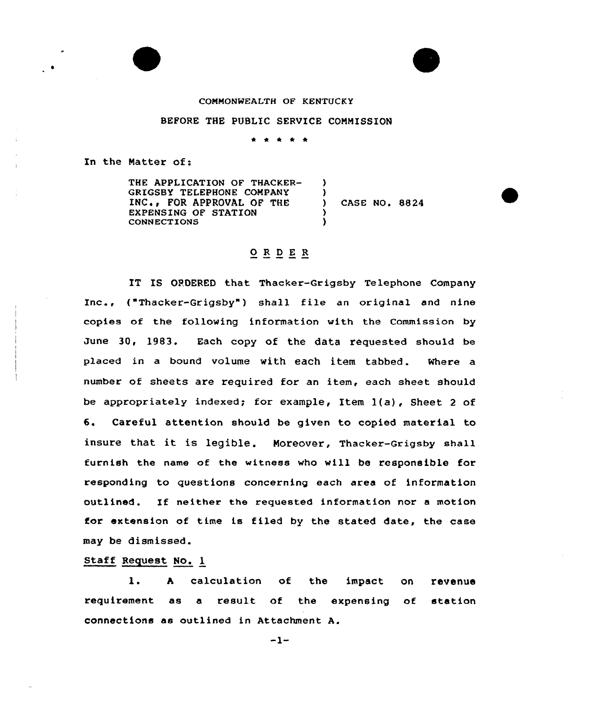## COMMONWEALTH OF KENTUCKY

## BEFORE THE PUBLIC SERVICE COMMISSION

 $*$  \*

In the Natter of:

THE APPLICATION OF THACKER-GKIGSBY TELEPHONE COMPANY INC., FOR APPROVAL OF THE EXPENSING OF STATION CONNECTIQNS ) ) ) CASE NO. 8824 ) )

## ORDER

IT IS OPOERED that Thacker-Grigsby Telephone Company Inc., ("Thacker-Grigsby") shall file an original and nine copies of the following information with the Commission by June 30, 1983. Each copy of the data requested should be placed in a bound volume with each item tabbed. Where a number of sheets are required for an item, each sheet should be appropriately indexed; for example, Item 1(a), Sheet 2 of 6. Careful attention should be given to copied material to insure that it is legible. Moreover, Thacker-Grigsby shall furnish the name of the witness who will be responsible for responding to questions concerning each area of information outlined. If neither the requested information nor <sup>a</sup> motion for extension of time is filed by the stated date, the case may be dismissed.

## Staff Request No. <sup>1</sup>

1. A calculation of the impact on revenu requirement as a result of the expensing of station connections as outlined in Attachment A.

 $-1-$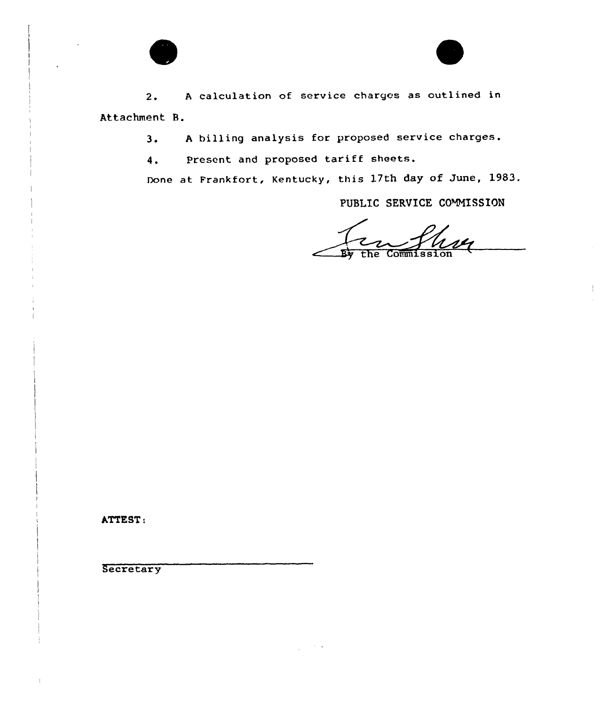

2. <sup>A</sup> calculation of service charges as outlined in Attachment 8.

3. <sup>A</sup> billing analysis for proposed service charges.

4. Present and proposed tariff sheets.

Done at Frankfort, Kentucky, this 17th day of June, 1983.

PUBLIC SERVICE COMMISSION

 $R_{\rm yr}$ Commissi the

ATTEST:

**Secretary**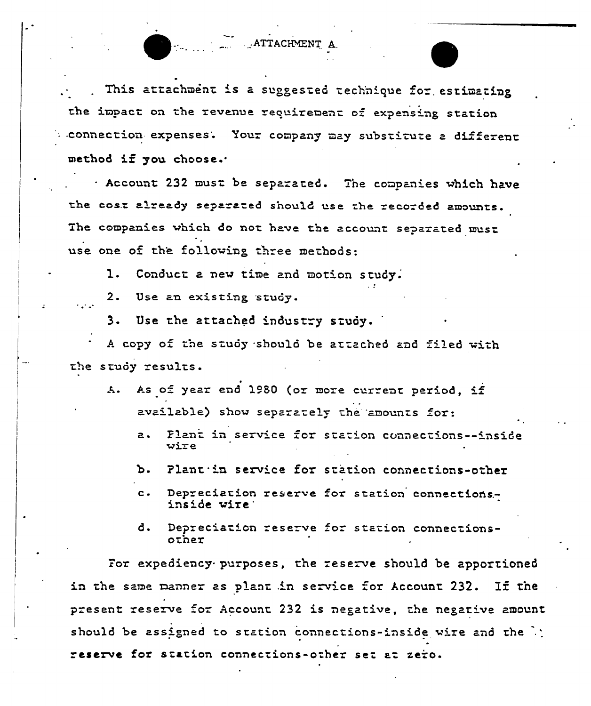This attachment is a suggested technique for estimating the impact on the revenue requirement of expensing station connection expenses. Your company may substitute a different method if you choose.

. ATTACHMENT A

. Account 232 must be separated. The companies which have the cost already separated should use the recorded amounts. The companies which do not have the account separated must use one of the following three methods:

Conduct a new time and motion study. 1.

 $2.$ Use an existing study.

 $\mathcal{L}_{\mathbf{a}}$  and  $\mathcal{L}_{\mathbf{a}}$ 

Use the attached industry study. 3.

A copy of the study should be attached and filed with the study results.

- As of year end 1980 (or more current period, if  $\mathbf{A}$ . available) show separately the amounts for:
	- Plant in service for station connections--inside  $\mathbf{a}$ .  $wize$
	- Plant in service for station connections-other Ъ.
	- Depreciation reserve for station connections $c$ inside wire:
	- đ. Depreciation reserve for station connectionsother

For expediency purposes, the reserve should be apportioned in the same manner as plant in service for Account 232. If the present reserve for Account 232 is negative, the negative amount should be assigned to station connections-inside wire and the ); reserve for station connections-other set at zero.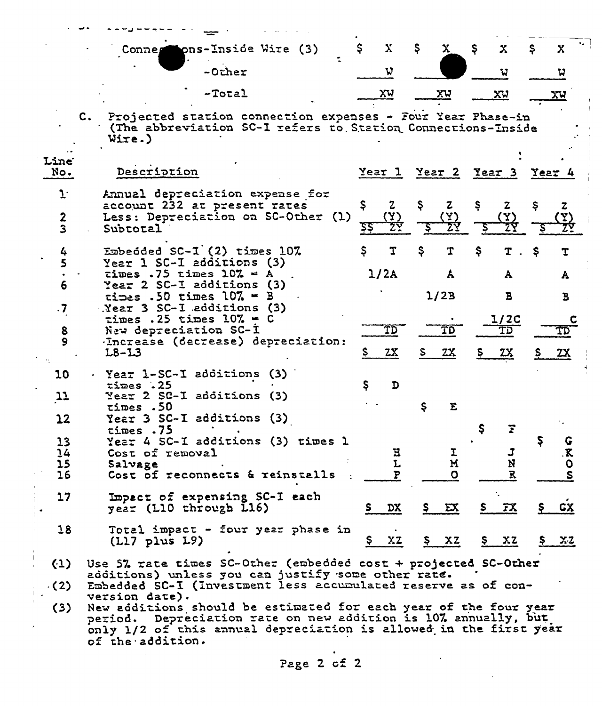|                                      | mons-Inside Wire (3)<br>Connes                                                                                                                                                                                                                | $\mathbf{X}$<br>\$.       | Ş.<br>$\mathbf{x}$        | - \$<br>X                   | Ş.<br>X         |  |
|--------------------------------------|-----------------------------------------------------------------------------------------------------------------------------------------------------------------------------------------------------------------------------------------------|---------------------------|---------------------------|-----------------------------|-----------------|--|
|                                      | $-0$ ther                                                                                                                                                                                                                                     | W                         |                           | u                           | น               |  |
|                                      | $-T$ otal                                                                                                                                                                                                                                     | <u>XA</u>                 | <u>xu</u>                 | <u>xu</u>                   | <u>хч</u>       |  |
|                                      | Projected station connection expenses - Four Year Phase-in<br>$c_{\star}$<br>(The abbreviation SC-I refers to Station Connections-Inside<br>Wire.)                                                                                            |                           |                           |                             |                 |  |
| Line<br>No.                          | Description                                                                                                                                                                                                                                   |                           |                           | Year 1 Year 2 Year 3 Year 4 |                 |  |
| $1^{\cdot}$<br>$\boldsymbol{2}$<br>3 | Annual depreciation expense for<br>account 232 at present rates<br>Less: Depreciation on SC-Other (1)<br>Subtotal                                                                                                                             | Ş.<br>$\mathbf{z}$<br>5Ş. | Ş.<br>$\mathbf{z}$<br>(X) | Ş<br>$\mathbf{z}$           | Ş<br>z.<br>(Y)  |  |
| 4                                    | Embedded $SC-I$ $(2)$ times 107.<br>Year 1 SC-I additions (3)                                                                                                                                                                                 | \$<br>T                   | Ş<br>T                    | Ş<br>T.                     | -Ş<br>T         |  |
| 6                                    | times .75 times $10\% = A$<br>Year 2 SC-I additions (3)                                                                                                                                                                                       | 1/2A                      | A                         | A                           | A               |  |
| $\cdot 7$                            | times .50 times $10\%$ = B<br>Near 3 SC-I additions (3)                                                                                                                                                                                       |                           | 1/2B                      | $\mathbf{B}$                | Ъ               |  |
| 8                                    | times . 25 times $107 - C$<br>New depreciation SC-I                                                                                                                                                                                           | $\overline{\texttt{TD}}$  | TD                        | 1/2C<br>TD                  |                 |  |
| 9                                    | Increase (decrease) depreciation:<br>$L8 - L3$                                                                                                                                                                                                | 2x<br>S.                  | 2x<br>S.                  | Ş.<br><u>zx</u>             | 2x<br>S.        |  |
| 10                                   | · Year 1-SC-I additions (3)<br>times .25                                                                                                                                                                                                      | S<br>$\mathbf{D}$         |                           |                             |                 |  |
| $\mathfrak{p}$                       | Year 2 SC-I additions (3)<br>times.50                                                                                                                                                                                                         |                           | Σ<br>\$.                  |                             |                 |  |
| 12                                   | Year 3 SC-I additions (3)<br>times.75                                                                                                                                                                                                         |                           |                           |                             |                 |  |
| 13<br>14<br>15<br>16                 | Year 4 SC-I additions (3) times 1<br>Cost of removal<br>Salvage<br>Cost of reconnects & reinstalls                                                                                                                                            | Е<br>L<br>P               | ┻<br>N<br>$\Omega$        | J<br>N<br>R                 | .K<br>$\bullet$ |  |
| 17                                   | Impact of expensing SC-I each<br>year (L10 through L16)                                                                                                                                                                                       | DX                        | $S$ $\mathbf{EX}$         | <u>s FX</u>                 | GХ              |  |
| 18                                   | Total impact - four year phase in<br>(L <sub>17</sub> plus L <sub>9</sub> )                                                                                                                                                                   | XZ<br>Ş.                  | $S$ $XZ$                  | XZ<br>Ş.                    | \$  x2          |  |
| (1)<br>$\cdot$ (2)                   | Use 57 rate times SC-Other (embedded cost + projected SC-Other<br>additions) unless you can justify some other rate.<br>Embedded SC-I (Investment less accumulated reserve as of con-                                                         |                           |                           |                             |                 |  |
| (3)                                  | version date).<br>New additions should be estimated for each year of the four year<br>period. Depreciation rate on new addition is 107 annually, but<br>only 1/2 of this annual depreciation is allowed in the first year<br>of the addition. |                           |                           |                             |                 |  |
|                                      |                                                                                                                                                                                                                                               |                           |                           |                             |                 |  |

Page 2 cf 2

 $\boldsymbol{\cdot}$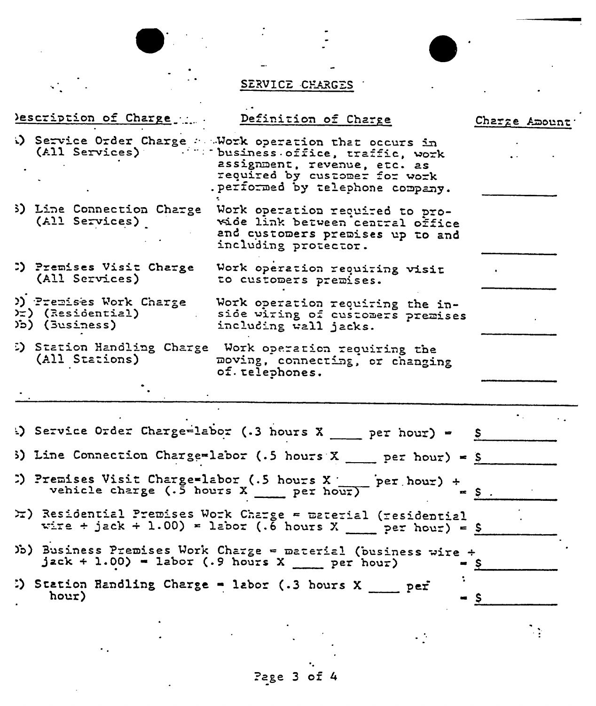

 $\frac{1}{\sum_{i=1}^{n} \frac{1}{\sum_{j=1}^{n} \frac{1}{\sum_{j=1}^{n} \frac{1}{\sum_{j=1}^{n} \frac{1}{\sum_{j=1}^{n} \frac{1}{\sum_{j=1}^{n} \frac{1}{\sum_{j=1}^{n} \frac{1}{\sum_{j=1}^{n} \frac{1}{\sum_{j=1}^{n} \frac{1}{\sum_{j=1}^{n} \frac{1}{\sum_{j=1}^{n} \frac{1}{\sum_{j=1}^{n} \frac{1}{\sum_{j=1}^{n} \frac{1}{\sum_{j=1}^{n} \frac{1}{\sum_{j=$ 

 $\ddot{\phantom{a}}$  .

 $\frac{1}{2}$  ,  $\frac{1}{2}$ 

SERVICE CHARGES

| Description of Charge                                                   | Definition of Charge                                                                                                                                                                                                |           | Charge Amount |
|-------------------------------------------------------------------------|---------------------------------------------------------------------------------------------------------------------------------------------------------------------------------------------------------------------|-----------|---------------|
|                                                                         | b) Service Order Charge : Work operation that occurs in<br>(All Services) (1999) business office, traffic, work<br>assignment, revenue, etc. as<br>required by customer for work<br>performed by telephone company. |           |               |
| (All Services)                                                          | 3) Line Connection Charge Work operation required to pro-<br>wide link between central office<br>and customers premises up to and<br>including protector.                                                           |           |               |
| D) Premises Visit Charge<br>(All Services)                              | Work operation requiring visit<br>to customers premises.                                                                                                                                                            |           |               |
| )) Premises Work Charge<br>$\rangle$ (Residential)<br>$\sum$ (3usiness) | Work operation requiring the in-<br>side witing of customers premises<br>including wall jacks.                                                                                                                      |           |               |
| (All Stations)                                                          | 5) Station Handling Charge Work operation requiring the<br>moving, connecting, or changing<br>of. telephones.                                                                                                       |           |               |
|                                                                         |                                                                                                                                                                                                                     |           |               |
|                                                                         | Service Order Charge-labor (.3 hours $X$ ___ per hour) = $S$                                                                                                                                                        |           |               |
|                                                                         | 3) Line Connection Charge=labor (.5 hours X ___ per hour) = \$                                                                                                                                                      |           |               |
| vehicle charge $(.5$ hours X per hour)                                  | $\sum$ Premises Visit Charge=labor (.5 hours X per hour) +                                                                                                                                                          | $=$ $S$ . |               |
|                                                                         | X) Residential Premises Work Charge = material (residential<br>wire + jack + 1.00) = labor (.6 hours X ___ per hour) = \$                                                                                           |           |               |
|                                                                         | Jo) Business Premises Work Charge = material (business wire +<br>$\texttt{jack} + 1.00$ ) - labor (.9 hours X ___ per hour)                                                                                         | S         |               |
| hour)                                                                   | :) Station Randling Charge = labor (.3 hours X ____ per                                                                                                                                                             | - s       |               |
|                                                                         |                                                                                                                                                                                                                     |           |               |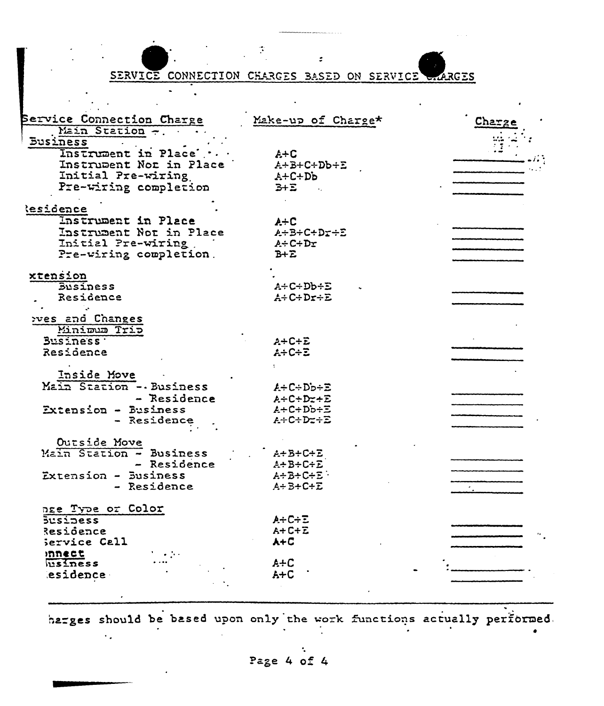SERVICE CONNECTION CHARGES BASED ON SERVICE RGES

| Service Connection Charge | Make-up of Charge*  | Charzi |
|---------------------------|---------------------|--------|
| Main Station -.           |                     |        |
| <b>Business</b>           |                     |        |
| Instrument in Place'      | $A + C$             |        |
| Instrupent Nor in Place   | $A+B+C+Db+E$        |        |
| Initial Pre-wiring        | $A + C + Db$        |        |
| Pre-wiring completion     | $3+2$               |        |
| <b>lesidence</b>          |                     |        |
| Instrument in Place       | $A+C$               |        |
| Instrument Not in Place   | $A + B + C + D + E$ |        |
| Initial Pre-wiring        | $A + C + Dr$        |        |
| Pre-wiring completion.    | $B + \Sigma$        |        |
|                           |                     |        |
| xtension                  |                     |        |
| <b>Susiness</b>           | $A + C + D b + E$   |        |
| Residence                 | $A + C + Dr + E$    |        |
|                           |                     |        |
| pves and Changes          |                     |        |
| Minimum Trip              |                     |        |
| Business .                | $A+C+E$             |        |
| Residence                 | $A + C + E$         |        |
|                           |                     |        |
| Inside Move               |                     |        |
| Main Station - Business   | $A + C + Db + E$    |        |
| - Residence               | $A + C + D + E$     |        |
| Extension - Business      | $A + C + Db + E$    |        |
| - Residence               | $A + C + Dz + E$    |        |
|                           |                     |        |
| Outside Move              |                     |        |
| Main Station - Business   | $A + B + C + E$     |        |
| - Residence               | $A + B + C + E$     |        |
| Extension - Business      | $A + B + C + E$     |        |
| - Residence               | $A + B + C + E$     |        |
| nge Type or Color         |                     |        |
| $5$ usidess               | $A + C + E$         |        |
| Residence                 | $A + C + E$         |        |
| Service Call              | $A + C$             |        |
| mnect                     |                     |        |
| usiness                   | $A+C$               |        |
| esidence                  | $A+C$               |        |
|                           |                     |        |

harges should be based upon only the work functions actually performed.

Page 4 of 4

 $\ddot{\phantom{a}}$  .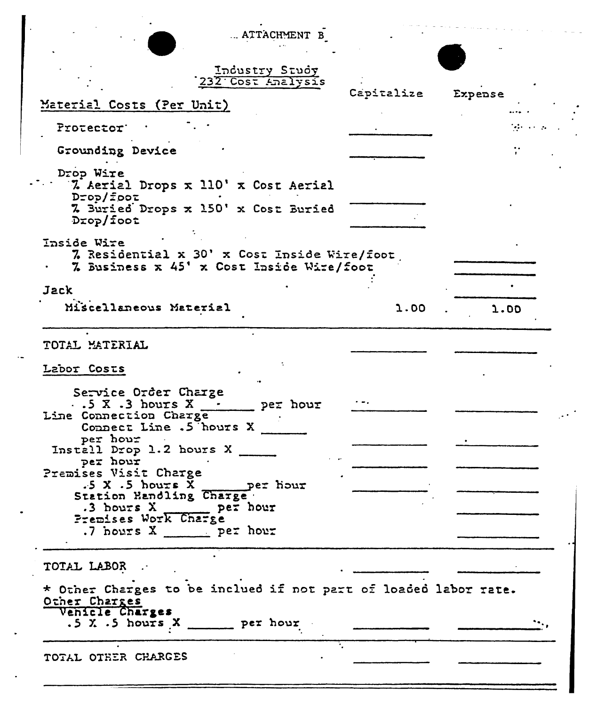| ATTACHMENT B                                                                                                                                                                                                                                                                                                                                                         |            |              |  |
|----------------------------------------------------------------------------------------------------------------------------------------------------------------------------------------------------------------------------------------------------------------------------------------------------------------------------------------------------------------------|------------|--------------|--|
| Industry Study<br>232 Cost Analysis<br>Material Costs (Per Unit)                                                                                                                                                                                                                                                                                                     | Capitalize | Expense      |  |
| Protector'                                                                                                                                                                                                                                                                                                                                                           |            | tale serviza |  |
| Grounding Device                                                                                                                                                                                                                                                                                                                                                     |            |              |  |
| Drop Wire<br>7. Aerial Drops x 110' x Cost Aerial<br>Drop/foot<br>7. Buried Drops x 150' x Cost Buried<br>$D$ rop/foot                                                                                                                                                                                                                                               |            |              |  |
| Inside Wire<br>7. Residential x 30' x Cost Inside Wire/foot<br>7 Business x 45' x Cost Inside Wire/foot                                                                                                                                                                                                                                                              |            |              |  |
| Jack                                                                                                                                                                                                                                                                                                                                                                 |            |              |  |
| Miscellaneous Material                                                                                                                                                                                                                                                                                                                                               | 1.00       | 1.00         |  |
| TOTAL MATERIAL<br>Labor Costs<br>Service Order Charge<br>$\cdot$ .5 X .3 hours X<br>per hour<br>Line Connection Charge<br>Connect Line .5 hours X<br>per hour<br>Install Drop 1.2 hours X<br>per hour<br>Premises Visit Charge<br>$.5 X .5$ hours X<br>per hour<br>Station Handling Charge<br>$.3$ hours $X$ per hour<br>Premises Work Charge<br>.7 hours X per hour |            |              |  |
| TOTAL LABOR<br>* Other Charges to be inclued if not part of loaded labor rate.<br>Other Charges<br>Venicle Charges<br>$.5 X . 5$ hours $X$ ______ per hour<br>TOTAL OTHER CHARGES                                                                                                                                                                                    |            |              |  |